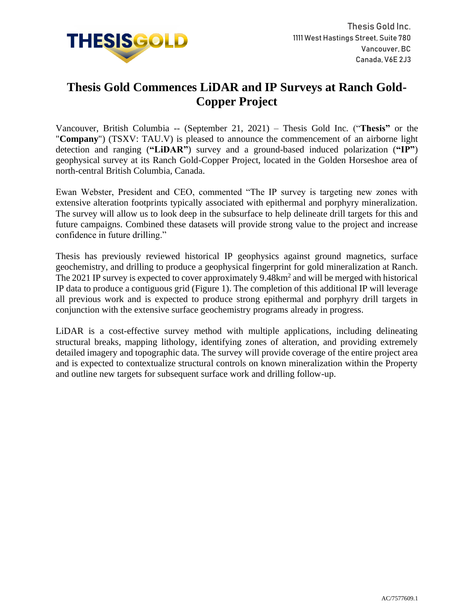

## **Thesis Gold Commences LiDAR and IP Surveys at Ranch Gold-Copper Project**

Vancouver, British Columbia -- (September 21, 2021) – Thesis Gold Inc. ("**Thesis"** or the "**Company**") (TSXV: TAU.V) is pleased to announce the commencement of an airborne light detection and ranging (**"LiDAR"**) survey and a ground-based induced polarization (**"IP"**) geophysical survey at its Ranch Gold-Copper Project, located in the Golden Horseshoe area of north-central British Columbia, Canada.

Ewan Webster, President and CEO, commented "The IP survey is targeting new zones with extensive alteration footprints typically associated with epithermal and porphyry mineralization. The survey will allow us to look deep in the subsurface to help delineate drill targets for this and future campaigns. Combined these datasets will provide strong value to the project and increase confidence in future drilling."

Thesis has previously reviewed historical IP geophysics against ground magnetics, surface geochemistry, and drilling to produce a geophysical fingerprint for gold mineralization at Ranch. The 2021 IP survey is expected to cover approximately 9.48km<sup>2</sup> and will be merged with historical IP data to produce a contiguous grid (Figure 1). The completion of this additional IP will leverage all previous work and is expected to produce strong epithermal and porphyry drill targets in conjunction with the extensive surface geochemistry programs already in progress.

LiDAR is a cost-effective survey method with multiple applications, including delineating structural breaks, mapping lithology, identifying zones of alteration, and providing extremely detailed imagery and topographic data. The survey will provide coverage of the entire project area and is expected to contextualize structural controls on known mineralization within the Property and outline new targets for subsequent surface work and drilling follow-up.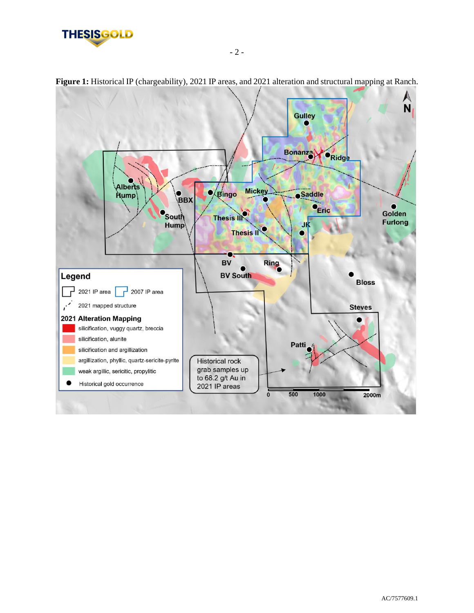



**Figure 1:** Historical IP (chargeability), 2021 IP areas, and 2021 alteration and structural mapping at Ranch.

- 2 -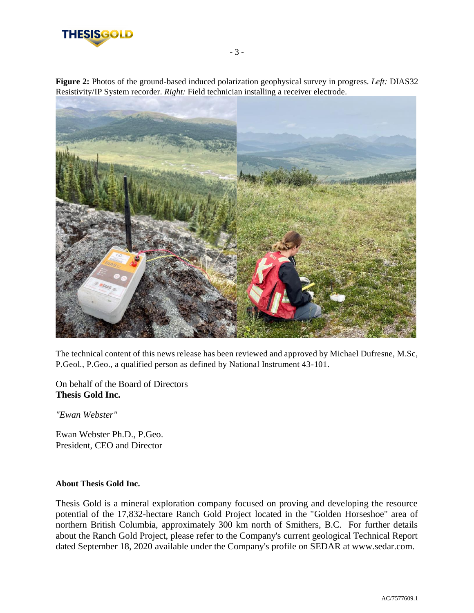

**Figure 2:** Photos of the ground-based induced polarization geophysical survey in progress. *Left:* DIAS32 Resistivity/IP System recorder. *Right:* Field technician installing a receiver electrode.



The technical content of this news release has been reviewed and approved by Michael Dufresne, M.Sc, P.Geol., P.Geo., a qualified person as defined by National Instrument 43-101.

On behalf of the Board of Directors **Thesis Gold Inc.**

*"Ewan Webster"*

Ewan Webster Ph.D., P.Geo. President, CEO and Director

## **About Thesis Gold Inc.**

Thesis Gold is a mineral exploration company focused on proving and developing the resource potential of the 17,832-hectare Ranch Gold Project located in the "Golden Horseshoe" area of northern British Columbia, approximately 300 km north of Smithers, B.C. For further details about the Ranch Gold Project, please refer to the Company's current geological Technical Report dated September 18, 2020 available under the Company's profile on SEDAR at www.sedar.com.